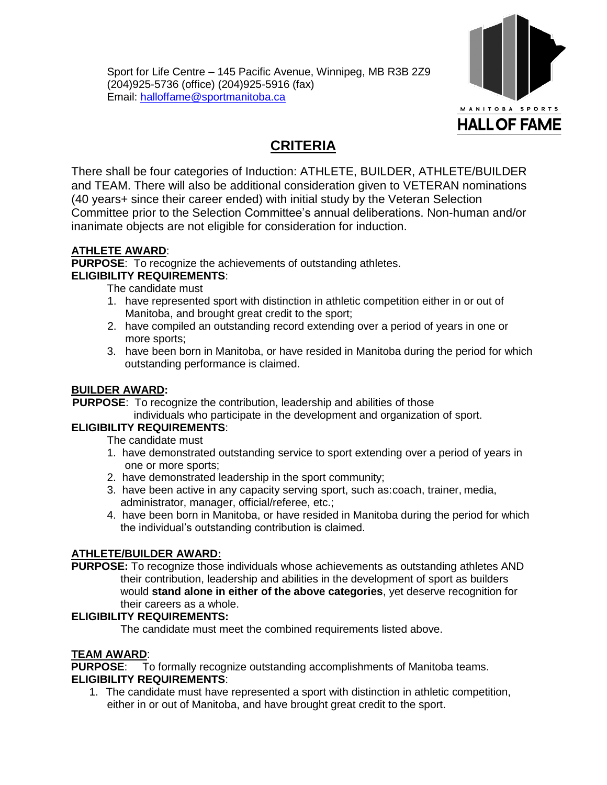Sport for Life Centre – 145 Pacific Avenue, Winnipeg, MB R3B 2Z9 (204)925-5736 (office) (204)925-5916 (fax) Email: [halloffame@sportmanitoba.ca](mailto:halloffame@sportmanitoba.ca) 



# **CRITERIA**

There shall be four categories of Induction: ATHLETE, BUILDER, ATHLETE/BUILDER and TEAM. There will also be additional consideration given to VETERAN nominations (40 years+ since their career ended) with initial study by the Veteran Selection Committee prior to the Selection Committee's annual deliberations. Non-human and/or inanimate objects are not eligible for consideration for induction.

# **ATHLETE AWARD**:

**PURPOSE**: To recognize the achievements of outstanding athletes.

## **ELIGIBILITY REQUIREMENTS**:

The candidate must

- 1. have represented sport with distinction in athletic competition either in or out of Manitoba, and brought great credit to the sport;
- 2. have compiled an outstanding record extending over a period of years in one or more sports;
- 3. have been born in Manitoba, or have resided in Manitoba during the period for which outstanding performance is claimed.

## **BUILDER AWARD:**

**PURPOSE:** To recognize the contribution, leadership and abilities of those

individuals who participate in the development and organization of sport.

## **ELIGIBILITY REQUIREMENTS**:

The candidate must

- 1. have demonstrated outstanding service to sport extending over a period of years in one or more sports;
- 2. have demonstrated leadership in the sport community;
- 3. have been active in any capacity serving sport, such as:coach, trainer, media, administrator, manager, official/referee, etc.;
- 4. have been born in Manitoba, or have resided in Manitoba during the period for which the individual's outstanding contribution is claimed.

## **ATHLETE/BUILDER AWARD:**

**PURPOSE:** To recognize those individuals whose achievements as outstanding athletes AND their contribution, leadership and abilities in the development of sport as builders would **stand alone in either of the above categories**, yet deserve recognition for their careers as a whole.

## **ELIGIBILITY REQUIREMENTS:**

The candidate must meet the combined requirements listed above.

# **TEAM AWARD:**<br>**PURPOSE:** To

To formally recognize outstanding accomplishments of Manitoba teams. **ELIGIBILITY REQUIREMENTS**:

1. The candidate must have represented a sport with distinction in athletic competition, either in or out of Manitoba, and have brought great credit to the sport.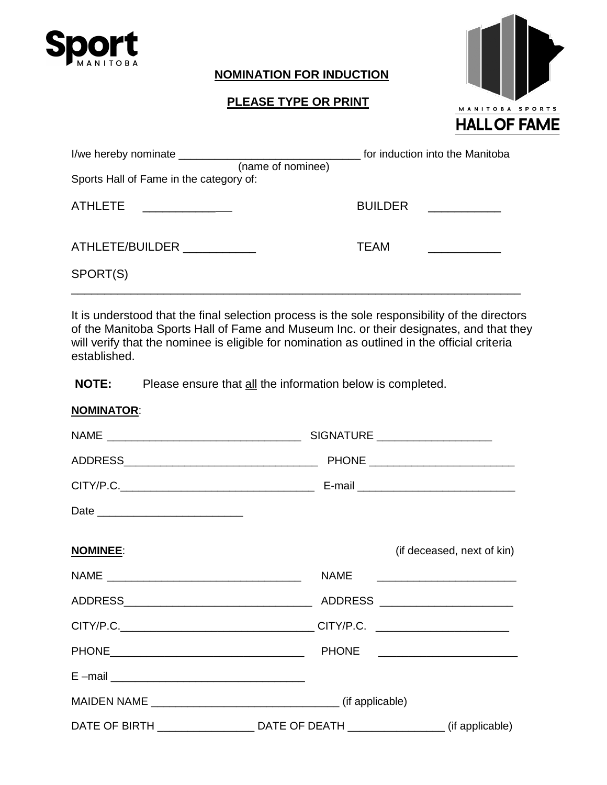

## **NOMINATION FOR INDUCTION**

# **PLEASE TYPE OR PRINT**



|                                         |                   |                | for induction into the Manitoba |  |
|-----------------------------------------|-------------------|----------------|---------------------------------|--|
|                                         | (name of nominee) |                |                                 |  |
| Sports Hall of Fame in the category of: |                   |                |                                 |  |
| ATHLETE                                 |                   | <b>BUILDER</b> |                                 |  |
| ATHLETE/BUILDER ____________            |                   | <b>TEAM</b>    |                                 |  |
| SPORT(S)                                |                   |                |                                 |  |

It is understood that the final selection process is the sole responsibility of the directors of the Manitoba Sports Hall of Fame and Museum Inc. or their designates, and that they will verify that the nominee is eligible for nomination as outlined in the official criteria established.

**NOTE:** Please ensure that all the information below is completed.

| <b>NOMINATOR:</b> |                                                                                                  |                                       |  |
|-------------------|--------------------------------------------------------------------------------------------------|---------------------------------------|--|
|                   |                                                                                                  |                                       |  |
|                   |                                                                                                  |                                       |  |
|                   |                                                                                                  |                                       |  |
|                   |                                                                                                  |                                       |  |
| <b>NOMINEE:</b>   |                                                                                                  | (if deceased, next of kin)            |  |
|                   |                                                                                                  | NAME ________________________________ |  |
|                   |                                                                                                  |                                       |  |
|                   |                                                                                                  |                                       |  |
|                   |                                                                                                  | PHONE __________________________      |  |
|                   |                                                                                                  |                                       |  |
|                   |                                                                                                  |                                       |  |
|                   | DATE OF BIRTH _______________________________DATE OF DEATH ______________________(if applicable) |                                       |  |